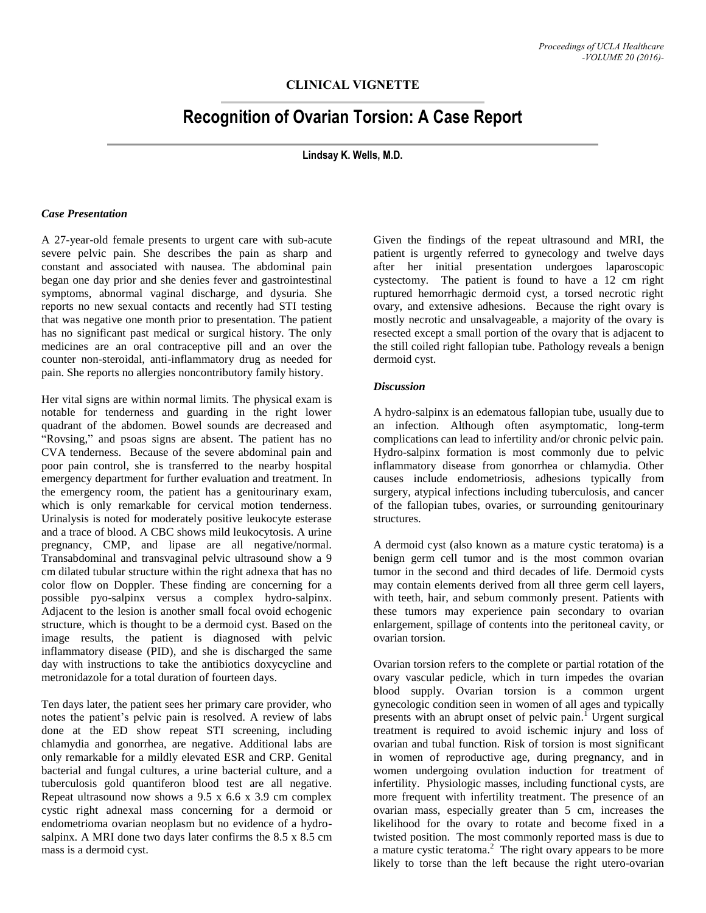# **CLINICAL VIGNETTE**

# **Recognition of Ovarian Torsion: A Case Report**

**Lindsay K. Wells, M.D.**

#### *Case Presentation*

A 27-year-old female presents to urgent care with sub-acute severe pelvic pain. She describes the pain as sharp and constant and associated with nausea. The abdominal pain began one day prior and she denies fever and gastrointestinal symptoms, abnormal vaginal discharge, and dysuria. She reports no new sexual contacts and recently had STI testing that was negative one month prior to presentation. The patient has no significant past medical or surgical history. The only medicines are an oral contraceptive pill and an over the counter non-steroidal, anti-inflammatory drug as needed for pain. She reports no allergies noncontributory family history.

Her vital signs are within normal limits. The physical exam is notable for tenderness and guarding in the right lower quadrant of the abdomen. Bowel sounds are decreased and "Rovsing," and psoas signs are absent. The patient has no CVA tenderness. Because of the severe abdominal pain and poor pain control, she is transferred to the nearby hospital emergency department for further evaluation and treatment. In the emergency room, the patient has a genitourinary exam, which is only remarkable for cervical motion tenderness. Urinalysis is noted for moderately positive leukocyte esterase and a trace of blood. A CBC shows mild leukocytosis. A urine pregnancy, CMP, and lipase are all negative/normal. Transabdominal and transvaginal pelvic ultrasound show a 9 cm dilated tubular structure within the right adnexa that has no color flow on Doppler. These finding are concerning for a possible pyo-salpinx versus a complex hydro-salpinx. Adjacent to the lesion is another small focal ovoid echogenic structure, which is thought to be a dermoid cyst. Based on the image results, the patient is diagnosed with pelvic inflammatory disease (PID), and she is discharged the same day with instructions to take the antibiotics doxycycline and metronidazole for a total duration of fourteen days.

Ten days later, the patient sees her primary care provider, who notes the patient's pelvic pain is resolved. A review of labs done at the ED show repeat STI screening, including chlamydia and gonorrhea, are negative. Additional labs are only remarkable for a mildly elevated ESR and CRP. Genital bacterial and fungal cultures, a urine bacterial culture, and a tuberculosis gold quantiferon blood test are all negative. Repeat ultrasound now shows a 9.5 x 6.6 x 3.9 cm complex cystic right adnexal mass concerning for a dermoid or endometrioma ovarian neoplasm but no evidence of a hydrosalpinx. A MRI done two days later confirms the 8.5 x 8.5 cm mass is a dermoid cyst.

Given the findings of the repeat ultrasound and MRI, the patient is urgently referred to gynecology and twelve days after her initial presentation undergoes laparoscopic cystectomy. The patient is found to have a 12 cm right ruptured hemorrhagic dermoid cyst, a torsed necrotic right ovary, and extensive adhesions. Because the right ovary is mostly necrotic and unsalvageable, a majority of the ovary is resected except a small portion of the ovary that is adjacent to the still coiled right fallopian tube. Pathology reveals a benign dermoid cyst.

#### *Discussion*

A hydro-salpinx is an edematous fallopian tube, usually due to an infection. Although often asymptomatic, long-term complications can lead to infertility and/or chronic pelvic pain. Hydro-salpinx formation is most commonly due to pelvic inflammatory disease from gonorrhea or chlamydia. Other causes include endometriosis, adhesions typically from surgery, atypical infections including tuberculosis, and cancer of the fallopian tubes, ovaries, or surrounding genitourinary structures.

A dermoid cyst (also known as a mature cystic teratoma) is a benign germ cell tumor and is the most common ovarian tumor in the second and third decades of life. Dermoid cysts may contain elements derived from all three germ cell layers, with teeth, hair, and sebum commonly present. Patients with these tumors may experience pain secondary to ovarian enlargement, spillage of contents into the peritoneal cavity, or ovarian torsion.

Ovarian torsion refers to the complete or partial rotation of the ovary vascular pedicle, which in turn impedes the ovarian blood supply. Ovarian torsion is a common urgent gynecologic condition seen in women of all ages and typically presents with an abrupt onset of pelvic pain.<sup>I</sup> Urgent surgical treatment is required to avoid ischemic injury and loss of ovarian and tubal function. Risk of torsion is most significant in women of reproductive age, during pregnancy, and in women undergoing ovulation induction for treatment of infertility. Physiologic masses, including functional cysts, are more frequent with infertility treatment. The presence of an ovarian mass, especially greater than 5 cm, increases the likelihood for the ovary to rotate and become fixed in a twisted position. The most commonly reported mass is due to a mature cystic teratoma.<sup>2</sup> The right ovary appears to be more likely to torse than the left because the right utero-ovarian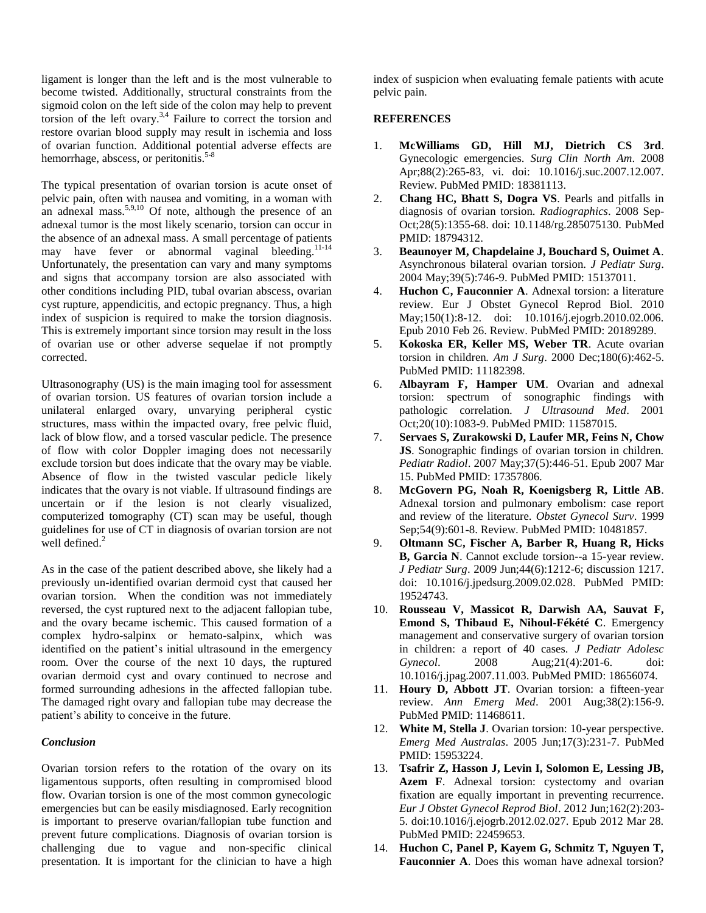ligament is longer than the left and is the most vulnerable to become twisted. Additionally, structural constraints from the sigmoid colon on the left side of the colon may help to prevent torsion of the left ovary.<sup>3,4</sup> Failure to correct the torsion and restore ovarian blood supply may result in ischemia and loss of ovarian function. Additional potential adverse effects are hemorrhage, abscess, or peritonitis.<sup>5-8</sup>

The typical presentation of ovarian torsion is acute onset of pelvic pain, often with nausea and vomiting, in a woman with an adnexal mass.<sup>5,9,10</sup> Of note, although the presence of an adnexal tumor is the most likely scenario, torsion can occur in the absence of an adnexal mass. A small percentage of patients may have fever or abnormal vaginal bleeding.<sup>11-14</sup> Unfortunately, the presentation can vary and many symptoms and signs that accompany torsion are also associated with other conditions including PID, tubal ovarian abscess, ovarian cyst rupture, appendicitis, and ectopic pregnancy. Thus, a high index of suspicion is required to make the torsion diagnosis. This is extremely important since torsion may result in the loss of ovarian use or other adverse sequelae if not promptly corrected.

Ultrasonography (US) is the main imaging tool for assessment of ovarian torsion. US features of ovarian torsion include a unilateral enlarged ovary, unvarying peripheral cystic structures, mass within the impacted ovary, free pelvic fluid, lack of blow flow, and a torsed vascular pedicle. The presence of flow with color Doppler imaging does not necessarily exclude torsion but does indicate that the ovary may be viable. Absence of flow in the twisted vascular pedicle likely indicates that the ovary is not viable. If ultrasound findings are uncertain or if the lesion is not clearly visualized, computerized tomography (CT) scan may be useful, though guidelines for use of CT in diagnosis of ovarian torsion are not well defined.<sup>2</sup>

As in the case of the patient described above, she likely had a previously un-identified ovarian dermoid cyst that caused her ovarian torsion. When the condition was not immediately reversed, the cyst ruptured next to the adjacent fallopian tube, and the ovary became ischemic. This caused formation of a complex hydro-salpinx or hemato-salpinx, which was identified on the patient's initial ultrasound in the emergency room. Over the course of the next 10 days, the ruptured ovarian dermoid cyst and ovary continued to necrose and formed surrounding adhesions in the affected fallopian tube. The damaged right ovary and fallopian tube may decrease the patient's ability to conceive in the future.

## *Conclusion*

Ovarian torsion refers to the rotation of the ovary on its ligamentous supports, often resulting in compromised blood flow. Ovarian torsion is one of the most common gynecologic emergencies but can be easily misdiagnosed. Early recognition is important to preserve ovarian/fallopian tube function and prevent future complications. Diagnosis of ovarian torsion is challenging due to vague and non-specific clinical presentation. It is important for the clinician to have a high index of suspicion when evaluating female patients with acute pelvic pain.

### **REFERENCES**

- 1. **McWilliams GD, Hill MJ, Dietrich CS 3rd**. Gynecologic emergencies. *Surg Clin North Am*. 2008 Apr;88(2):265-83, vi. doi: 10.1016/j.suc.2007.12.007. Review. PubMed PMID: 18381113.
- 2. **Chang HC, Bhatt S, Dogra VS**. Pearls and pitfalls in diagnosis of ovarian torsion. *Radiographics*. 2008 Sep-Oct;28(5):1355-68. doi: 10.1148/rg.285075130. PubMed PMID: 18794312.
- 3. **Beaunoyer M, Chapdelaine J, Bouchard S, Ouimet A**. Asynchronous bilateral ovarian torsion. *J Pediatr Surg*. 2004 May;39(5):746-9. PubMed PMID: 15137011.
- 4. **Huchon C, Fauconnier A**. Adnexal torsion: a literature review. Eur J Obstet Gynecol Reprod Biol. 2010 May;150(1):8-12. doi: 10.1016/j.ejogrb.2010.02.006. Epub 2010 Feb 26. Review. PubMed PMID: 20189289.
- 5. **Kokoska ER, Keller MS, Weber TR**. Acute ovarian torsion in children*. Am J Surg*. 2000 Dec;180(6):462-5. PubMed PMID: 11182398.
- 6. **Albayram F, Hamper UM**. Ovarian and adnexal torsion: spectrum of sonographic findings with pathologic correlation. *J Ultrasound Med*. 2001 Oct;20(10):1083-9. PubMed PMID: 11587015.
- 7. **Servaes S, Zurakowski D, Laufer MR, Feins N, Chow JS**. Sonographic findings of ovarian torsion in children. *Pediatr Radiol*. 2007 May;37(5):446-51. Epub 2007 Mar 15. PubMed PMID: 17357806.
- 8. **McGovern PG, Noah R, Koenigsberg R, Little AB**. Adnexal torsion and pulmonary embolism: case report and review of the literature. *Obstet Gynecol Surv*. 1999 Sep;54(9):601-8. Review. PubMed PMID: 10481857.
- 9. **Oltmann SC, Fischer A, Barber R, Huang R, Hicks B, Garcia N**. Cannot exclude torsion--a 15-year review. *J Pediatr Surg*. 2009 Jun;44(6):1212-6; discussion 1217. doi: 10.1016/j.jpedsurg.2009.02.028. PubMed PMID: 19524743.
- 10. **Rousseau V, Massicot R, Darwish AA, Sauvat F, Emond S, Thibaud E, Nihoul-Fékété C**. Emergency management and conservative surgery of ovarian torsion in children: a report of 40 cases. *J Pediatr Adolesc Gynecol*. 2008 Aug;21(4):201-6. doi: 10.1016/j.jpag.2007.11.003. PubMed PMID: 18656074.
- 11. **Houry D, Abbott JT**. Ovarian torsion: a fifteen-year review. *Ann Emerg Med*. 2001 Aug;38(2):156-9. PubMed PMID: 11468611.
- 12. **White M, Stella J**. Ovarian torsion: 10-year perspective. *Emerg Med Australas*. 2005 Jun;17(3):231-7. PubMed PMID: 15953224.
- 13. **Tsafrir Z, Hasson J, Levin I, Solomon E, Lessing JB, Azem F**. Adnexal torsion: cystectomy and ovarian fixation are equally important in preventing recurrence. *Eur J Obstet Gynecol Reprod Biol*. 2012 Jun;162(2):203- 5. doi:10.1016/j.ejogrb.2012.02.027. Epub 2012 Mar 28. PubMed PMID: 22459653.
- 14. **Huchon C, Panel P, Kayem G, Schmitz T, Nguyen T, Fauconnier A**. Does this woman have adnexal torsion?